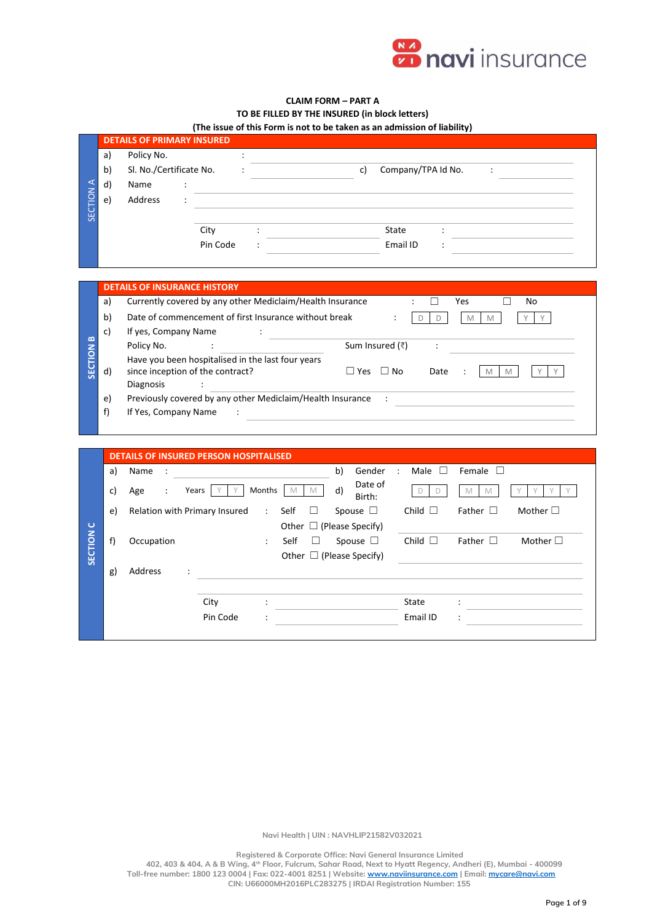

## **CLAIM FORM – PART A TO BE FILLED BY THE INSURED (in block letters) (The issue of this Form is not to be taken as an admission of liability)**

|         |    |                                     |              |          |                                                                 |    |                    | . .                     |                |       |  |
|---------|----|-------------------------------------|--------------|----------|-----------------------------------------------------------------|----|--------------------|-------------------------|----------------|-------|--|
|         |    | <b>DETAILS OF PRIMARY INSURED</b>   |              |          |                                                                 |    |                    |                         |                |       |  |
|         | a) | Policy No.                          |              |          |                                                                 |    |                    |                         |                |       |  |
|         | b) | Sl. No./Certificate No.             |              |          |                                                                 | c) | Company/TPA Id No. |                         | $\ddot{\cdot}$ |       |  |
| ⋖       | d) | Name                                |              |          |                                                                 |    |                    |                         |                |       |  |
| SECTION | e) | Address                             | ٠<br>$\cdot$ |          |                                                                 |    |                    |                         |                |       |  |
|         |    |                                     |              |          |                                                                 |    |                    |                         |                |       |  |
|         |    |                                     |              | City     | $\cdot$                                                         |    | State              | $\ddot{\cdot}$          |                |       |  |
|         |    |                                     |              | Pin Code |                                                                 |    | Email ID           | $\ddot{\cdot}$          |                |       |  |
|         |    |                                     |              |          |                                                                 |    |                    |                         |                |       |  |
|         |    |                                     |              |          |                                                                 |    |                    |                         |                |       |  |
|         |    | <b>DETAILS OF INSURANCE HISTORY</b> |              |          |                                                                 |    |                    |                         |                |       |  |
|         |    |                                     |              |          | a) Cumpandu sacusad bu sacusat pas Madislaine (Haalth Insurance |    |                    | $\Box$ $V_{\text{max}}$ | $\Box$         | $N =$ |  |

|                            | a)                                                                                                                                                 | Currently covered by any other Mediclaim/Health Insurance<br>No<br>Yes |  |  |  |  |  |  |  |  |  |
|----------------------------|----------------------------------------------------------------------------------------------------------------------------------------------------|------------------------------------------------------------------------|--|--|--|--|--|--|--|--|--|
|                            | b)                                                                                                                                                 | Date of commencement of first Insurance without break<br>M<br>M        |  |  |  |  |  |  |  |  |  |
|                            | C)                                                                                                                                                 | If yes, Company Name                                                   |  |  |  |  |  |  |  |  |  |
| $\mathbf{r}$               |                                                                                                                                                    | Sum Insured $(\bar{z})$<br>Policy No.                                  |  |  |  |  |  |  |  |  |  |
| <b>SECTION</b>             | Have you been hospitalised in the last four years<br>since inception of the contract?<br>$\Box$ No<br>⊥ Yes<br>Date<br>d)<br>M<br><b>Diagnosis</b> |                                                                        |  |  |  |  |  |  |  |  |  |
|                            | e)                                                                                                                                                 | Previously covered by any other Mediclaim/Health Insurance             |  |  |  |  |  |  |  |  |  |
| f)<br>If Yes, Company Name |                                                                                                                                                    |                                                                        |  |  |  |  |  |  |  |  |  |
|                            |                                                                                                                                                    |                                                                        |  |  |  |  |  |  |  |  |  |

|           | <b>DETAILS OF INSURED PERSON HOSPITALISED</b> |                              |                               |                      |      |        |    |                               |                |                 |                  |                  |
|-----------|-----------------------------------------------|------------------------------|-------------------------------|----------------------|------|--------|----|-------------------------------|----------------|-----------------|------------------|------------------|
|           | a)                                            | Name<br>$\ddot{\phantom{1}}$ |                               |                      |      |        | b) | Gender                        | $\ddot{\cdot}$ | Male $\square$  | Female $\square$ |                  |
|           | C)                                            | Age<br>÷                     | Years                         | Months               |      | M      | d) | Date of<br>Birth:             |                |                 | M<br>M           |                  |
|           | e)                                            |                              | Relation with Primary Insured | $\sim 10^{-1}$       | Self | ⊔      |    | Spouse $\Box$                 |                | Child $\Box$    | Father $\square$ | Mother $\square$ |
|           |                                               |                              |                               |                      |      |        |    | Other $\Box$ (Please Specify) |                |                 |                  |                  |
| SECTION C | f)                                            | Occupation                   |                               | $\ddot{\phantom{0}}$ | Self | $\Box$ |    | Spouse $\Box$                 |                | Child $\square$ | Father $\square$ | Mother $\square$ |
|           |                                               |                              |                               |                      |      |        |    | Other $\Box$ (Please Specify) |                |                 |                  |                  |
|           | g)                                            | Address                      | $\ddot{\cdot}$                |                      |      |        |    |                               |                |                 |                  |                  |
|           |                                               |                              |                               |                      |      |        |    |                               |                |                 |                  |                  |
|           |                                               |                              | City                          | $\cdot$              |      |        |    |                               |                | State           | $\ddot{\cdot}$   |                  |
|           |                                               |                              | Pin Code                      | $\bullet$            |      |        |    |                               |                | Email ID        | $\bullet$        |                  |
|           |                                               |                              |                               |                      |      |        |    |                               |                |                 |                  |                  |

**Navi Health | UIN : NAVHLIP21582V032021**

 **Registered & Corporate Office: Navi General Insurance Limited 402, 403 & 404, A & B Wing, 4th Floor, Fulcrum, Sahar Road, Next to Hyatt Regency, Andheri (E), Mumbai - 400099**

 **Toll-free number: 1800 123 0004 | Fax: 022-4001 8251 | Website[: www.naviinsurance.com](http://www.naviinsurance.com/) | Email[: mycare@navi.com](mailto:mycare@navi.com)**

 **CIN: U66000MH2016PLC283275 | IRDAI Registration Number: 155**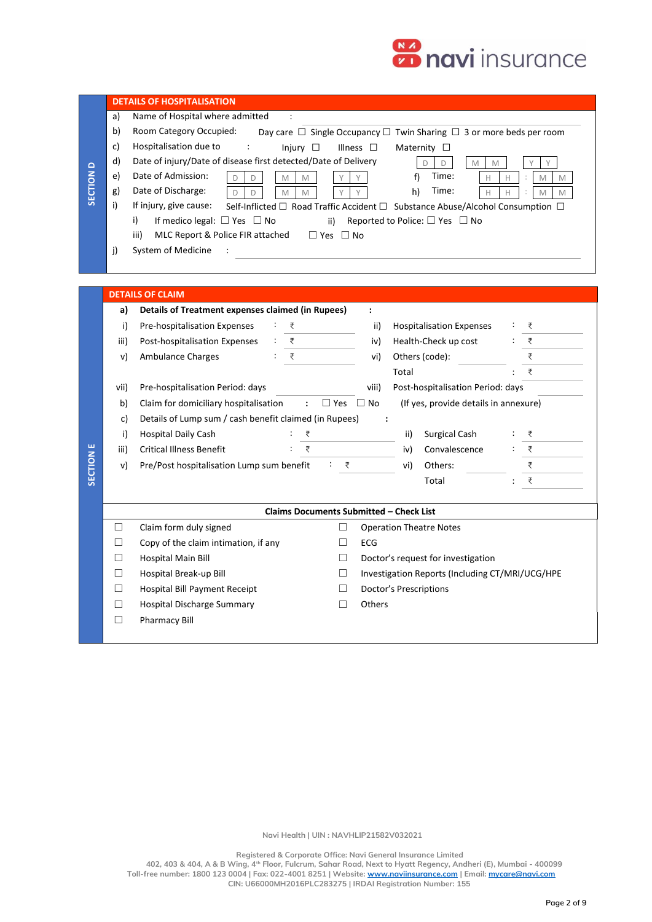

|                                                                  |      | <b>DETAILS OF HOSPITALISATION</b>                                                                                                                                                      |  |  |  |  |  |  |  |  |  |  |
|------------------------------------------------------------------|------|----------------------------------------------------------------------------------------------------------------------------------------------------------------------------------------|--|--|--|--|--|--|--|--|--|--|
|                                                                  | a)   | Name of Hospital where admitted<br>$\ddot{\cdot}$                                                                                                                                      |  |  |  |  |  |  |  |  |  |  |
|                                                                  | b)   | Room Category Occupied:<br>Day care $\Box$ Single Occupancy $\Box$ Twin Sharing $\Box$ 3 or more beds per room                                                                         |  |  |  |  |  |  |  |  |  |  |
|                                                                  | c)   | Hospitalisation due to<br>Injury $\square$<br>Illness $\square$<br>$\ddot{\cdot}$<br>Maternity $\square$                                                                               |  |  |  |  |  |  |  |  |  |  |
|                                                                  | d)   | Date of injury/Date of disease first detected/Date of Delivery                                                                                                                         |  |  |  |  |  |  |  |  |  |  |
|                                                                  | e)   | D<br>D<br>M<br>M<br>Date of Admission:<br>Time:<br>f)                                                                                                                                  |  |  |  |  |  |  |  |  |  |  |
| <b>SECTION D</b>                                                 | g)   | H<br>D<br>D<br>M<br>$\overline{H}$<br>M<br>M<br>Y<br>Y<br>M<br>Date of Discharge:<br>Time:<br>h)                                                                                       |  |  |  |  |  |  |  |  |  |  |
|                                                                  | i)   | Н<br>D<br>M<br>M<br>D<br>Н<br>M<br>M<br>If injury, give cause:                                                                                                                         |  |  |  |  |  |  |  |  |  |  |
|                                                                  |      | Self-Inflicted □ Road Traffic Accident □ Substance Abuse/Alcohol Consumption □<br>If medico legal: $\Box$ Yes $\Box$ No<br>Reported to Police: $\square$ Yes $\square$ No<br>i)<br>ii) |  |  |  |  |  |  |  |  |  |  |
| iii)<br>MLC Report & Police FIR attached<br>$\Box$ Yes $\Box$ No |      |                                                                                                                                                                                        |  |  |  |  |  |  |  |  |  |  |
|                                                                  |      | System of Medicine                                                                                                                                                                     |  |  |  |  |  |  |  |  |  |  |
|                                                                  | j)   |                                                                                                                                                                                        |  |  |  |  |  |  |  |  |  |  |
|                                                                  |      |                                                                                                                                                                                        |  |  |  |  |  |  |  |  |  |  |
|                                                                  |      |                                                                                                                                                                                        |  |  |  |  |  |  |  |  |  |  |
|                                                                  |      | <b>DETAILS OF CLAIM</b>                                                                                                                                                                |  |  |  |  |  |  |  |  |  |  |
|                                                                  | a)   | Details of Treatment expenses claimed (in Rupees)<br>$\ddot{\cdot}$                                                                                                                    |  |  |  |  |  |  |  |  |  |  |
|                                                                  | i)   | Pre-hospitalisation Expenses<br>₹<br><b>Hospitalisation Expenses</b><br>ii)<br>₹                                                                                                       |  |  |  |  |  |  |  |  |  |  |
|                                                                  | iii) | Post-hospitalisation Expenses<br>₹<br>Health-Check up cost<br>₹<br>iv)                                                                                                                 |  |  |  |  |  |  |  |  |  |  |
|                                                                  | v)   | ₹<br>Others (code):<br><b>Ambulance Charges</b><br>₹<br>vi)                                                                                                                            |  |  |  |  |  |  |  |  |  |  |
|                                                                  |      | ₹<br>Total                                                                                                                                                                             |  |  |  |  |  |  |  |  |  |  |
|                                                                  | vii) | Pre-hospitalisation Period: days<br>viii)<br>Post-hospitalisation Period: days                                                                                                         |  |  |  |  |  |  |  |  |  |  |
|                                                                  | b)   | Claim for domiciliary hospitalisation<br>$\Box$ Yes $\Box$ No<br>(If yes, provide details in annexure)<br>$\ddot{\cdot}$                                                               |  |  |  |  |  |  |  |  |  |  |
|                                                                  | c)   | Details of Lump sum / cash benefit claimed (in Rupees)<br>:                                                                                                                            |  |  |  |  |  |  |  |  |  |  |
|                                                                  | i)   | <b>Hospital Daily Cash</b><br>₹<br>₹<br>ii)<br><b>Surgical Cash</b>                                                                                                                    |  |  |  |  |  |  |  |  |  |  |
|                                                                  | iii) | <b>Critical Illness Benefit</b><br>₹<br>Convalescence<br>₹<br>iv)                                                                                                                      |  |  |  |  |  |  |  |  |  |  |
| SECTION E                                                        | v)   | Pre/Post hospitalisation Lump sum benefit<br>Others:<br>₹<br>vi)<br>₹                                                                                                                  |  |  |  |  |  |  |  |  |  |  |
|                                                                  |      | Total<br>₹                                                                                                                                                                             |  |  |  |  |  |  |  |  |  |  |
|                                                                  |      |                                                                                                                                                                                        |  |  |  |  |  |  |  |  |  |  |
|                                                                  |      | <b>Claims Documents Submitted - Check List</b>                                                                                                                                         |  |  |  |  |  |  |  |  |  |  |
|                                                                  | □    | Claim form duly signed<br>$\Box$<br><b>Operation Theatre Notes</b>                                                                                                                     |  |  |  |  |  |  |  |  |  |  |
|                                                                  | П    | Copy of the claim intimation, if any<br>□<br><b>ECG</b>                                                                                                                                |  |  |  |  |  |  |  |  |  |  |
|                                                                  | П    | Hospital Main Bill<br>Doctor's request for investigation<br>П                                                                                                                          |  |  |  |  |  |  |  |  |  |  |
|                                                                  |      | Hospital Break-up Bill<br>П<br>Investigation Reports (Including CT/MRI/UCG/HPE                                                                                                         |  |  |  |  |  |  |  |  |  |  |

☐ Hospital Bill Payment Receipt ☐ Doctor's Prescriptions

☐ Hospital Discharge Summary ☐ Others

☐ Pharmacy Bill

**Navi Health | UIN : NAVHLIP21582V032021**

 **Registered & Corporate Office: Navi General Insurance Limited**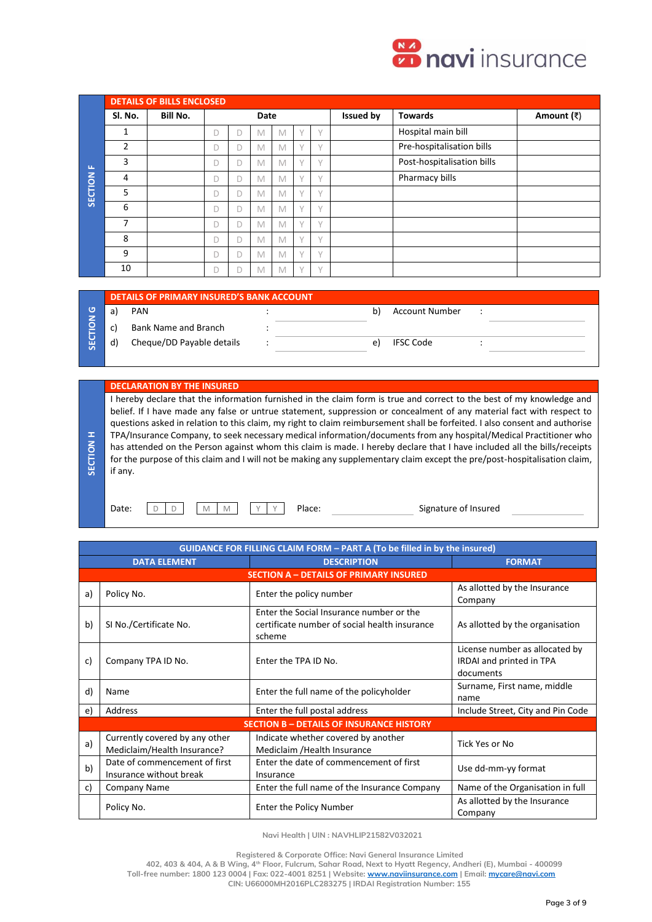

|         |                | <b>DETAILS OF BILLS ENCLOSED</b> |   |   |      |   |            |            |                  |                            |            |  |  |  |  |
|---------|----------------|----------------------------------|---|---|------|---|------------|------------|------------------|----------------------------|------------|--|--|--|--|
|         | Sl. No.        | Bill No.                         |   |   | Date |   |            |            | <b>Issued by</b> | <b>Towards</b>             | Amount (₹) |  |  |  |  |
|         | 1              |                                  | D |   | M    | M | $\sqrt{}$  | $\sqrt{ }$ |                  | Hospital main bill         |            |  |  |  |  |
|         | $\overline{2}$ |                                  | D |   | M    | M | $\sqrt{}$  | $\sqrt{ }$ |                  | Pre-hospitalisation bills  |            |  |  |  |  |
| u.      | 3              |                                  | D | D | M    | M | $\lambda$  | $\sqrt{}$  |                  | Post-hospitalisation bills |            |  |  |  |  |
|         | 4              |                                  | D |   | M    | M | $\sqrt{ }$ | $\sqrt{ }$ |                  | Pharmacy bills             |            |  |  |  |  |
| SECTION | 5              |                                  | D |   | M    | M | $\sqrt{ }$ | $\sqrt{ }$ |                  |                            |            |  |  |  |  |
|         | 6              |                                  | D |   | M    | M | $\sqrt{}$  | $\sqrt{ }$ |                  |                            |            |  |  |  |  |
|         | 7              |                                  | D |   | M    | M | $\sqrt{}$  | $\sqrt{ }$ |                  |                            |            |  |  |  |  |
|         | 8              |                                  | D |   | M    | M | $\sqrt{ }$ | $\sqrt{}$  |                  |                            |            |  |  |  |  |
|         | 9              |                                  | D |   | M    | M | $\sqrt{}$  | $\sqrt{}$  |                  |                            |            |  |  |  |  |
|         | 10             |                                  | D |   | M    | M | $\sqrt{}$  | $\sqrt{}$  |                  |                            |            |  |  |  |  |

|     | DETAILS OF PRIMARY INSURED'S BANK ACCOUNT, |                           |  |    |                       |  |  |  |  |  |  |  |
|-----|--------------------------------------------|---------------------------|--|----|-----------------------|--|--|--|--|--|--|--|
| ၊ ပ | а                                          | <b>PAN</b>                |  | b  | <b>Account Number</b> |  |  |  |  |  |  |  |
|     |                                            | Bank Name and Branch      |  |    |                       |  |  |  |  |  |  |  |
|     | d)                                         | Cheque/DD Payable details |  | e, | <b>IFSC Code</b>      |  |  |  |  |  |  |  |
|     |                                            |                           |  |    |                       |  |  |  |  |  |  |  |

# **DECLARATION BY THE INSURED**

**SECTION H** I hereby declare that the information furnished in the claim form is true and correct to the best of my knowledge and belief. If I have made any false or untrue statement, suppression or concealment of any material fact with respect to questions asked in relation to this claim, my right to claim reimbursement shall be forfeited. I also consent and authorise TPA/Insurance Company, to seek necessary medical information/documents from any hospital/Medical Practitioner who has attended on the Person against whom this claim is made. I hereby declare that I have included all the bills/receipts for the purpose of this claim and I will not be making any supplementary claim except the pre/post-hospitalisation claim, if any.

Date: D D M M Y Y Place: Signature of Insured

|    |                                                               | <b>GUIDANCE FOR FILLING CLAIM FORM - PART A (To be filled in by the insured)</b>                    |                                                                         |
|----|---------------------------------------------------------------|-----------------------------------------------------------------------------------------------------|-------------------------------------------------------------------------|
|    | <b>DATA ELEMENT</b>                                           | <b>DESCRIPTION</b>                                                                                  | <b>FORMAT</b>                                                           |
|    |                                                               | <b>SECTION A - DETAILS OF PRIMARY INSURED</b>                                                       |                                                                         |
| a) | Policy No.                                                    | Enter the policy number                                                                             | As allotted by the Insurance<br>Company                                 |
| b) | SI No./Certificate No.                                        | Enter the Social Insurance number or the<br>certificate number of social health insurance<br>scheme | As allotted by the organisation                                         |
| c) | Company TPA ID No.                                            | <b>Enter the TPA ID No.</b>                                                                         | License number as allocated by<br>IRDAI and printed in TPA<br>documents |
| d) | Name                                                          | Enter the full name of the policyholder                                                             | Surname, First name, middle<br>name                                     |
| e) | Address                                                       | Enter the full postal address                                                                       | Include Street, City and Pin Code                                       |
|    |                                                               | <b>SECTION B - DETAILS OF INSURANCE HISTORY</b>                                                     |                                                                         |
| a) | Currently covered by any other<br>Mediclaim/Health Insurance? | Indicate whether covered by another<br>Mediclaim / Health Insurance                                 | Tick Yes or No                                                          |
| b) | Date of commencement of first<br>Insurance without break      | Enter the date of commencement of first<br>Insurance                                                | Use dd-mm-yy format                                                     |
| c) | Company Name                                                  | Enter the full name of the Insurance Company                                                        | Name of the Organisation in full                                        |
|    | Policy No.                                                    | Enter the Policy Number                                                                             | As allotted by the Insurance<br>Company                                 |

**Navi Health | UIN : NAVHLIP21582V032021**

 **Registered & Corporate Office: Navi General Insurance Limited**

 **402, 403 & 404, A & B Wing, 4th Floor, Fulcrum, Sahar Road, Next to Hyatt Regency, Andheri (E), Mumbai - 400099 Toll-free number: 1800 123 0004 | Fax: 022-4001 8251 | Website[: www.naviinsurance.com](http://www.naviinsurance.com/) | Email[: mycare@navi.com](mailto:mycare@navi.com)**

 **CIN: U66000MH2016PLC283275 | IRDAI Registration Number: 155**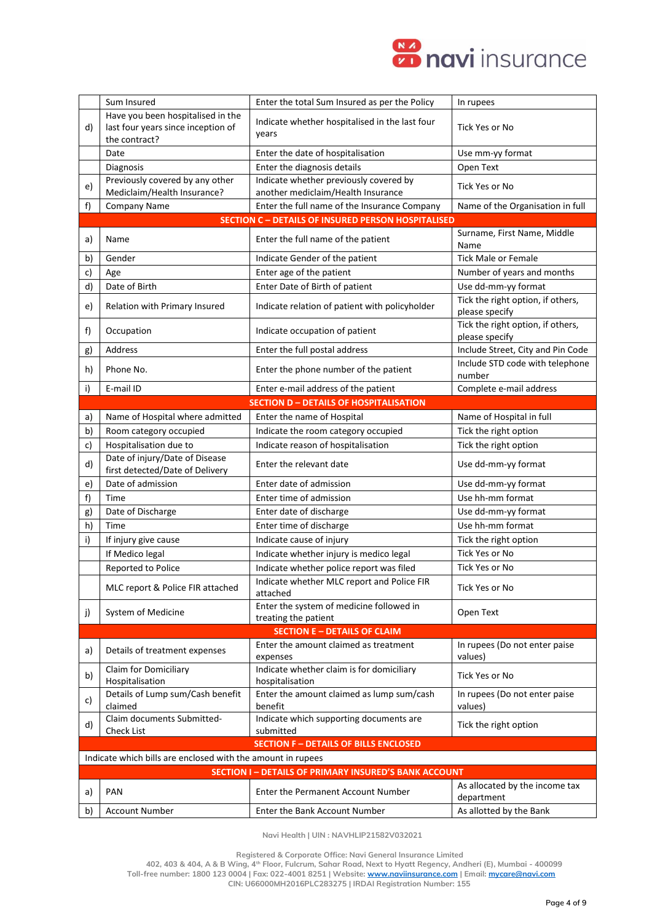

|    | Sum Insured                                                                              | Enter the total Sum Insured as per the Policy                                | In rupees                                           |  |  |  |  |  |  |  |
|----|------------------------------------------------------------------------------------------|------------------------------------------------------------------------------|-----------------------------------------------------|--|--|--|--|--|--|--|
| d) | Have you been hospitalised in the<br>last four years since inception of<br>the contract? | Indicate whether hospitalised in the last four<br>years                      | Tick Yes or No                                      |  |  |  |  |  |  |  |
|    | Date                                                                                     | Enter the date of hospitalisation                                            | Use mm-yy format                                    |  |  |  |  |  |  |  |
|    | Diagnosis                                                                                | Enter the diagnosis details                                                  | Open Text                                           |  |  |  |  |  |  |  |
| e) | Previously covered by any other<br>Mediclaim/Health Insurance?                           | Indicate whether previously covered by<br>another mediclaim/Health Insurance | Tick Yes or No                                      |  |  |  |  |  |  |  |
| f) | <b>Company Name</b>                                                                      | Enter the full name of the Insurance Company                                 | Name of the Organisation in full                    |  |  |  |  |  |  |  |
|    |                                                                                          | <b>SECTION C - DETAILS OF INSURED PERSON HOSPITALISED</b>                    |                                                     |  |  |  |  |  |  |  |
| a) | Name                                                                                     | Enter the full name of the patient                                           | Surname, First Name, Middle<br>Name                 |  |  |  |  |  |  |  |
| b) | Gender                                                                                   | Indicate Gender of the patient                                               | <b>Tick Male or Female</b>                          |  |  |  |  |  |  |  |
| c) | Age                                                                                      | Enter age of the patient                                                     | Number of years and months                          |  |  |  |  |  |  |  |
| d) | Date of Birth                                                                            | Enter Date of Birth of patient                                               | Use dd-mm-yy format                                 |  |  |  |  |  |  |  |
| e) | Relation with Primary Insured                                                            | Indicate relation of patient with policyholder                               | Tick the right option, if others,<br>please specify |  |  |  |  |  |  |  |
| f) | Occupation                                                                               | Indicate occupation of patient                                               | Tick the right option, if others,<br>please specify |  |  |  |  |  |  |  |
| g) | Address                                                                                  | Enter the full postal address                                                | Include Street, City and Pin Code                   |  |  |  |  |  |  |  |
| h) | Phone No.                                                                                | Enter the phone number of the patient                                        | Include STD code with telephone<br>number           |  |  |  |  |  |  |  |
| i) | E-mail ID                                                                                | Enter e-mail address of the patient                                          | Complete e-mail address                             |  |  |  |  |  |  |  |
|    | <b>SECTION D - DETAILS OF HOSPITALISATION</b>                                            |                                                                              |                                                     |  |  |  |  |  |  |  |
| a) | Name of Hospital where admitted                                                          | Enter the name of Hospital                                                   | Name of Hospital in full                            |  |  |  |  |  |  |  |
| b) | Room category occupied                                                                   | Indicate the room category occupied                                          | Tick the right option                               |  |  |  |  |  |  |  |
| c) | Hospitalisation due to                                                                   | Indicate reason of hospitalisation                                           | Tick the right option                               |  |  |  |  |  |  |  |
| d) | Date of injury/Date of Disease<br>first detected/Date of Delivery                        | Enter the relevant date                                                      | Use dd-mm-yy format                                 |  |  |  |  |  |  |  |
| e) | Date of admission                                                                        | Enter date of admission                                                      | Use dd-mm-yy format                                 |  |  |  |  |  |  |  |
| f) | Time                                                                                     | Enter time of admission                                                      | Use hh-mm format                                    |  |  |  |  |  |  |  |
| g) | Date of Discharge                                                                        | Enter date of discharge                                                      | Use dd-mm-yy format                                 |  |  |  |  |  |  |  |
| h) | Time                                                                                     | Enter time of discharge                                                      | Use hh-mm format                                    |  |  |  |  |  |  |  |
| i) | If injury give cause                                                                     | Indicate cause of injury                                                     | Tick the right option                               |  |  |  |  |  |  |  |
|    | If Medico legal                                                                          | Indicate whether injury is medico legal                                      | Tick Yes or No                                      |  |  |  |  |  |  |  |
|    | Reported to Police                                                                       | Indicate whether police report was filed                                     | Tick Yes or No                                      |  |  |  |  |  |  |  |
|    | MLC report & Police FIR attached                                                         | Indicate whether MLC report and Police FIR<br>attached                       | Tick Yes or No                                      |  |  |  |  |  |  |  |
| j) | System of Medicine                                                                       | Enter the system of medicine followed in<br>treating the patient             | Open Text                                           |  |  |  |  |  |  |  |
|    |                                                                                          | <b>SECTION E - DETAILS OF CLAIM</b>                                          |                                                     |  |  |  |  |  |  |  |
| a) | Details of treatment expenses                                                            | Enter the amount claimed as treatment<br>expenses                            | In rupees (Do not enter paise<br>values)            |  |  |  |  |  |  |  |
| b) | Claim for Domiciliary<br>Hospitalisation                                                 | Indicate whether claim is for domiciliary<br>hospitalisation                 | Tick Yes or No                                      |  |  |  |  |  |  |  |
| c) | Details of Lump sum/Cash benefit<br>claimed                                              | Enter the amount claimed as lump sum/cash<br>benefit                         | In rupees (Do not enter paise<br>values)            |  |  |  |  |  |  |  |
| d) | Claim documents Submitted-<br>Check List                                                 | Indicate which supporting documents are<br>submitted                         | Tick the right option                               |  |  |  |  |  |  |  |
|    |                                                                                          | <b>SECTION F - DETAILS OF BILLS ENCLOSED</b>                                 |                                                     |  |  |  |  |  |  |  |
|    | Indicate which bills are enclosed with the amount in rupees                              |                                                                              |                                                     |  |  |  |  |  |  |  |
|    |                                                                                          | <b>SECTION I- DETAILS OF PRIMARY INSURED'S BANK ACCOUNT</b>                  |                                                     |  |  |  |  |  |  |  |
| a) | <b>PAN</b>                                                                               | Enter the Permanent Account Number                                           | As allocated by the income tax<br>department        |  |  |  |  |  |  |  |
| b) | <b>Account Number</b>                                                                    | Enter the Bank Account Number                                                | As allotted by the Bank                             |  |  |  |  |  |  |  |

 **Registered & Corporate Office: Navi General Insurance Limited**

 **402, 403 & 404, A & B Wing, 4th Floor, Fulcrum, Sahar Road, Next to Hyatt Regency, Andheri (E), Mumbai - 400099 Toll-free number: 1800 123 0004 | Fax: 022-4001 8251 | Website[: www.naviinsurance.com](http://www.naviinsurance.com/) | Email[: mycare@navi.com](mailto:mycare@navi.com)**

 **CIN: U66000MH2016PLC283275 | IRDAI Registration Number: 155**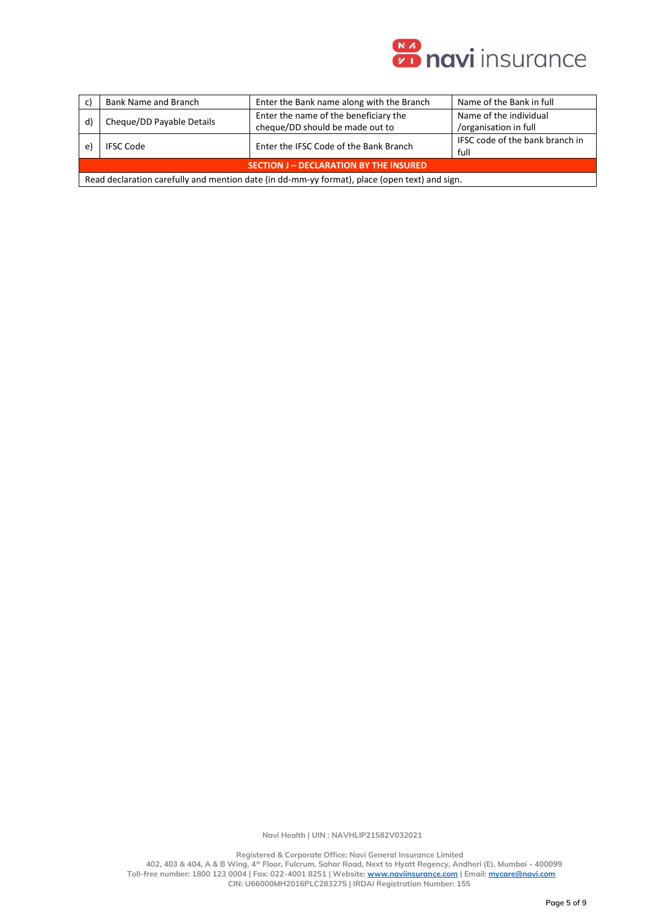

|    | Bank Name and Branch                          | Enter the Bank name along with the Branch                                                     | Name of the Bank in full                        |  |  |  |  |  |  |
|----|-----------------------------------------------|-----------------------------------------------------------------------------------------------|-------------------------------------------------|--|--|--|--|--|--|
| d) | Cheque/DD Payable Details                     | Enter the name of the beneficiary the<br>cheque/DD should be made out to                      | Name of the individual<br>/organisation in full |  |  |  |  |  |  |
|    | <b>IFSC Code</b>                              | Enter the IFSC Code of the Bank Branch                                                        | IFSC code of the bank branch in<br>full         |  |  |  |  |  |  |
|    | <b>SECTION J - DECLARATION BY THE INSURED</b> |                                                                                               |                                                 |  |  |  |  |  |  |
|    |                                               | Read declaration carefully and mention date (in dd-mm-yy format), place (open text) and sign. |                                                 |  |  |  |  |  |  |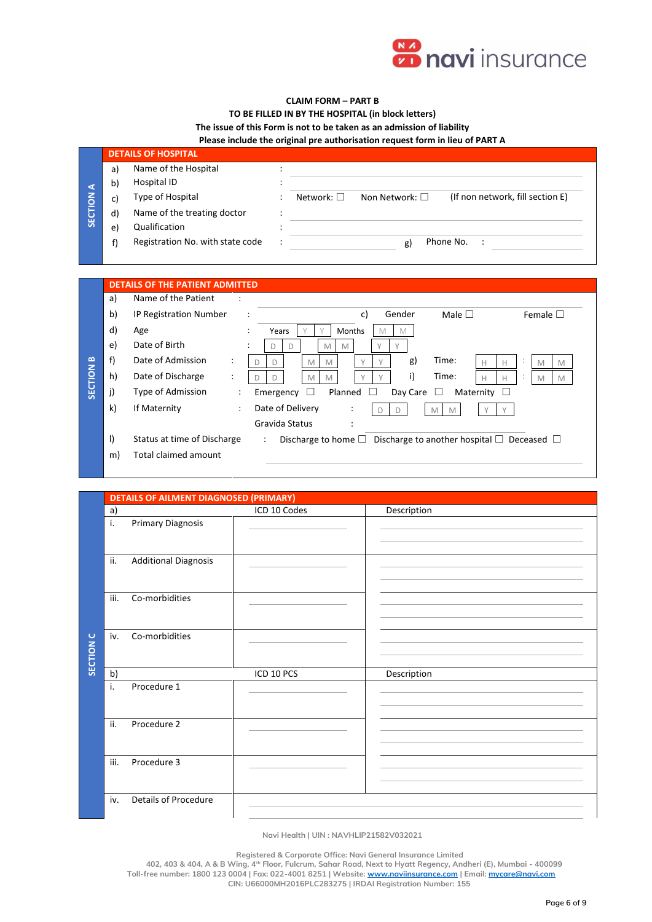

# **CLAIM FORM – PART B**

# **TO BE FILLED IN BY THE HOSPITAL (in block letters)**

#### **The issue of this Form is not to be taken as an admission of liability**

**Please include the original pre authorisation request form in lieu of PART A**

|                          |              | <b>DETAILS OF HOSPITAL</b>       |   |                 |                     |                                  |
|--------------------------|--------------|----------------------------------|---|-----------------|---------------------|----------------------------------|
|                          | a)           | Name of the Hospital             |   |                 |                     |                                  |
|                          | $\mathbf{b}$ | Hospital ID                      |   |                 |                     |                                  |
| <u>ିବ</u><br><b>SECT</b> |              | Type of Hospital                 |   | Network: $\Box$ | Non Network: $\Box$ | (If non network, fill section E) |
|                          | ď            | Name of the treating doctor      | ٠ |                 |                     |                                  |
|                          | e)           | Qualification                    |   |                 |                     |                                  |
|                          | f)           | Registration No. with state code |   |                 | g)                  | Phone No.<br>$\ddot{\cdot}$      |

# **DETAILS OF THE PATIENT ADMITTED**

|              | a)      | Name of the Patient                       |                      |                                                                                             |                      |            |                 |             |                     |               |  |
|--------------|---------|-------------------------------------------|----------------------|---------------------------------------------------------------------------------------------|----------------------|------------|-----------------|-------------|---------------------|---------------|--|
|              | b)      | IP Registration Number                    | $\ddot{\phantom{a}}$ |                                                                                             |                      | c)         | Gender          | Male $\Box$ |                     | Female $\Box$ |  |
|              | d)      | Age                                       |                      | Years                                                                                       | <b>Months</b>        |            | M<br>M          |             |                     |               |  |
|              | e)      | Date of Birth                             | ٠<br>$\bullet$       | D                                                                                           | M<br>M               |            |                 |             |                     |               |  |
| $\mathbf{m}$ | f)      | Date of Admission<br>$\ddot{\phantom{a}}$ |                      | D                                                                                           | M<br>M               |            | g)              | Time:       | H<br>H              | ÷<br>M<br>M   |  |
| SECTION      | h)      | Date of Discharge<br>$\cdot$<br>$\cdot$   |                      | D.                                                                                          | M<br>M               | $\sqrt{ }$ | i)              | Time:       | Н<br>Н              | M<br>M        |  |
|              | j)      | Type of Admission                         | ÷                    | Emergency                                                                                   | Planned<br>⊔         | $\Box$     | Day Care $\Box$ |             | Maternity $\square$ |               |  |
|              | k)      | If Maternity                              |                      | Date of Delivery                                                                            | ٠<br>$\cdot$         |            | $\Box$          | M<br>M      | $\vee$              |               |  |
|              |         |                                           |                      | Gravida Status                                                                              | $\ddot{\phantom{a}}$ |            |                 |             |                     |               |  |
|              | $\vert$ | Status at time of Discharge               |                      | Discharge to another hospital $\Box$<br>Discharge to home $\square$<br>Deceased $\Box$<br>÷ |                      |            |                 |             |                     |               |  |
|              | m)      | Total claimed amount                      |                      |                                                                                             |                      |            |                 |             |                     |               |  |
|              |         |                                           |                      |                                                                                             |                      |            |                 |             |                     |               |  |

|           |      | <b>DETAILS OF AILMENT DIAGNOSED (PRIMARY)</b> |              |             |
|-----------|------|-----------------------------------------------|--------------|-------------|
|           | a)   |                                               | ICD 10 Codes | Description |
|           | i.   | <b>Primary Diagnosis</b>                      |              |             |
|           |      |                                               |              |             |
|           | ii.  | <b>Additional Diagnosis</b>                   |              |             |
|           | iii. | Co-morbidities                                |              |             |
| SECTION C | iv.  | Co-morbidities                                |              |             |
|           | b)   |                                               | ICD 10 PCS   | Description |
|           | i.   | Procedure 1                                   |              |             |
|           | ii.  | Procedure 2                                   |              |             |
|           | iii. | Procedure 3                                   |              |             |
|           | iv.  | <b>Details of Procedure</b>                   |              |             |

**Navi Health | UIN : NAVHLIP21582V032021**

 **Registered & Corporate Office: Navi General Insurance Limited**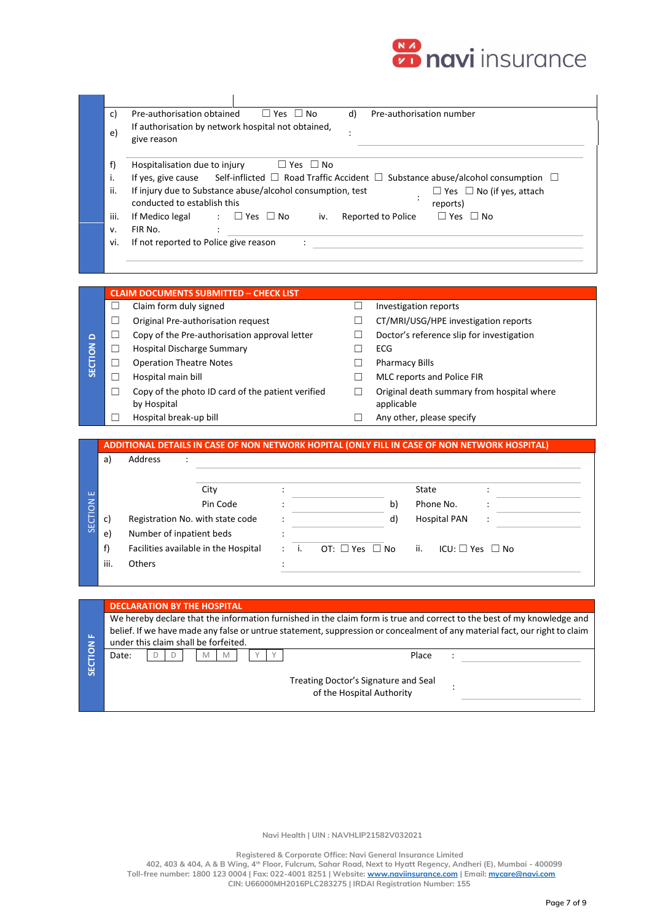

| c)   | $\Box$ Yes $\Box$ No<br>Pre-authorisation obtained<br>d)<br>Pre-authorisation number<br>If authorisation by network hospital not obtained.    |
|------|-----------------------------------------------------------------------------------------------------------------------------------------------|
| e)   | give reason                                                                                                                                   |
| f)   | Hospitalisation due to injury<br>$\Box$ Yes $\Box$ No                                                                                         |
| i.   | If yes, give cause Self-inflicted $\Box$ Road Traffic Accident $\Box$ Substance abuse/alcohol consumption $\Box$                              |
| ii.  | If injury due to Substance abuse/alcohol consumption, test<br>$\Box$ Yes $\Box$ No (if yes, attach<br>conducted to establish this<br>reports) |
| iii. | If Medico legal<br>Reported to Police<br>$\therefore$ $\Box$ Yes $\Box$ No<br>$\Box$ Yes<br>$\Box$ No<br>iv.                                  |
| v.   | FIR No.                                                                                                                                       |
| vi.  | If not reported to Police give reason<br>$\ddot{\cdot}$                                                                                       |

|         |        | <b>CLAIM DOCUMENTS SUBMITTED - CHECK LIST</b>     |                                            |
|---------|--------|---------------------------------------------------|--------------------------------------------|
|         |        | Claim form duly signed                            | Investigation reports                      |
|         | لــ    | Original Pre-authorisation request                | CT/MRI/USG/HPE investigation reports       |
| $\Box$  | $\Box$ | Copy of the Pre-authorisation approval letter     | Doctor's reference slip for investigation  |
|         | ↵      | <b>Hospital Discharge Summary</b>                 | ECG                                        |
| SECTION |        | <b>Operation Theatre Notes</b>                    | <b>Pharmacy Bills</b>                      |
|         |        | Hospital main bill                                | MLC reports and Police FIR                 |
|         | O      | Copy of the photo ID card of the patient verified | Original death summary from hospital where |
|         |        | by Hospital                                       | applicable                                 |
|         |        | Hospital break-up bill                            | Any other, please specify                  |

E<br>Z **ADDITIONAL DETAILS IN CASE OF NON NETWORK HOPITAL (ONLY FILL IN CASE OF NON NETWORK HOSPITAL)** a) Address : City in the set of the set of the State of the State of the State of the State of the State of the State of the State of the State of the State of the State of the State of the State of the State of the State of the State Pin Code :  $\overline{\qquad \qquad}$  b) Phone No.

| $\overline{\phantom{0}}$ |      |                                      |             |                          |     |                           |  |
|--------------------------|------|--------------------------------------|-------------|--------------------------|-----|---------------------------|--|
| SEC                      |      | Registration No. with state code     |             | d)                       |     | <b>Hospital PAN</b>       |  |
|                          | e)   | Number of inpatient beds             |             |                          |     |                           |  |
|                          |      | Facilities available in the Hospital | $\cdots$ i. | OT: $\Box$ Yes $\Box$ No | ii. | $ICU: \Box$ Yes $\Box$ No |  |
|                          | iii. | <b>Others</b>                        |             |                          |     |                           |  |
|                          |      |                                      |             |                          |     |                           |  |

|                 | <b>DECLARATION BY THE HOSPITAL</b>                                                                                         |                                                                                                                        |   |   |  |  |                                      |  |  |  |  |
|-----------------|----------------------------------------------------------------------------------------------------------------------------|------------------------------------------------------------------------------------------------------------------------|---|---|--|--|--------------------------------------|--|--|--|--|
| <b>LL</b>       |                                                                                                                            | We hereby declare that the information furnished in the claim form is true and correct to the best of my knowledge and |   |   |  |  |                                      |  |  |  |  |
|                 | belief. If we have made any false or untrue statement, suppression or concealment of any material fact, our right to claim |                                                                                                                        |   |   |  |  |                                      |  |  |  |  |
| z               | under this claim shall be forfeited.                                                                                       |                                                                                                                        |   |   |  |  |                                      |  |  |  |  |
| ∘<br><b>SEC</b> | Date:                                                                                                                      |                                                                                                                        | M | M |  |  | Place                                |  |  |  |  |
|                 |                                                                                                                            |                                                                                                                        |   |   |  |  |                                      |  |  |  |  |
|                 |                                                                                                                            |                                                                                                                        |   |   |  |  | Treating Doctor's Signature and Seal |  |  |  |  |
|                 |                                                                                                                            |                                                                                                                        |   |   |  |  | of the Hospital Authority            |  |  |  |  |
|                 |                                                                                                                            |                                                                                                                        |   |   |  |  |                                      |  |  |  |  |

**Navi Health | UIN : NAVHLIP21582V032021**

 **Registered & Corporate Office: Navi General Insurance Limited**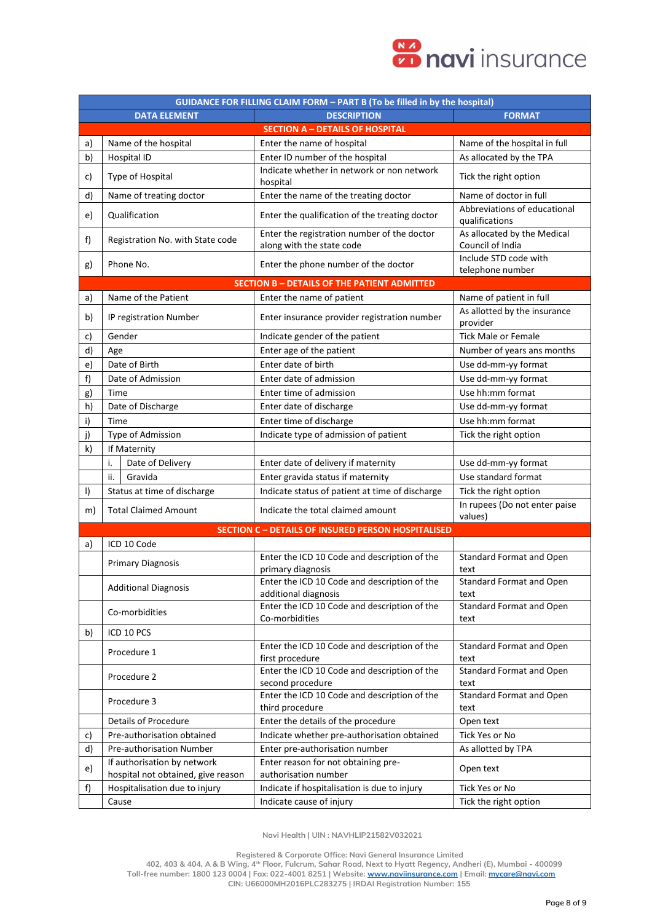

| <b>GUIDANCE FOR FILLING CLAIM FORM - PART B (To be filled in by the hospital)</b> |                                                                   |                                                                          |                                                 |  |  |  |  |  |
|-----------------------------------------------------------------------------------|-------------------------------------------------------------------|--------------------------------------------------------------------------|-------------------------------------------------|--|--|--|--|--|
|                                                                                   | <b>DATA ELEMENT</b>                                               | <b>DESCRIPTION</b>                                                       | <b>FORMAT</b>                                   |  |  |  |  |  |
| <b>SECTION A - DETAILS OF HOSPITAL</b>                                            |                                                                   |                                                                          |                                                 |  |  |  |  |  |
| a)                                                                                | Name of the hospital                                              | Enter the name of hospital                                               | Name of the hospital in full                    |  |  |  |  |  |
| b)                                                                                | Hospital ID                                                       | Enter ID number of the hospital                                          | As allocated by the TPA                         |  |  |  |  |  |
| c)                                                                                | Type of Hospital                                                  | Indicate whether in network or non network<br>hospital                   | Tick the right option                           |  |  |  |  |  |
| d)                                                                                | Name of treating doctor                                           | Enter the name of the treating doctor                                    | Name of doctor in full                          |  |  |  |  |  |
| e)                                                                                | Qualification                                                     | Enter the qualification of the treating doctor                           | Abbreviations of educational<br>qualifications  |  |  |  |  |  |
| f)                                                                                | Registration No. with State code                                  | Enter the registration number of the doctor<br>along with the state code | As allocated by the Medical<br>Council of India |  |  |  |  |  |
| g)                                                                                | Phone No.                                                         | Enter the phone number of the doctor                                     | Include STD code with<br>telephone number       |  |  |  |  |  |
|                                                                                   |                                                                   | <b>SECTION B - DETAILS OF THE PATIENT ADMITTED</b>                       |                                                 |  |  |  |  |  |
| a)                                                                                | Name of the Patient                                               | Enter the name of patient                                                | Name of patient in full                         |  |  |  |  |  |
| b)                                                                                | IP registration Number                                            | Enter insurance provider registration number                             | As allotted by the insurance<br>provider        |  |  |  |  |  |
| c)                                                                                | Gender                                                            | Indicate gender of the patient                                           | <b>Tick Male or Female</b>                      |  |  |  |  |  |
| d)                                                                                | Age                                                               | Enter age of the patient                                                 | Number of years ans months                      |  |  |  |  |  |
| e)                                                                                | Date of Birth                                                     | Enter date of birth                                                      | Use dd-mm-yy format                             |  |  |  |  |  |
| f)                                                                                | Date of Admission                                                 | Enter date of admission                                                  | Use dd-mm-yy format                             |  |  |  |  |  |
| g)                                                                                | Time                                                              | Enter time of admission                                                  | Use hh:mm format                                |  |  |  |  |  |
| h)                                                                                | Date of Discharge                                                 | Enter date of discharge                                                  | Use dd-mm-yy format                             |  |  |  |  |  |
| i)                                                                                | Time                                                              | Enter time of discharge                                                  | Use hh:mm format                                |  |  |  |  |  |
| j)                                                                                | Type of Admission                                                 | Indicate type of admission of patient                                    | Tick the right option                           |  |  |  |  |  |
| k)                                                                                | If Maternity                                                      |                                                                          |                                                 |  |  |  |  |  |
|                                                                                   | Date of Delivery<br>i.                                            | Enter date of delivery if maternity                                      | Use dd-mm-yy format                             |  |  |  |  |  |
|                                                                                   | Gravida<br>ii.                                                    | Enter gravida status if maternity                                        | Use standard format                             |  |  |  |  |  |
| $\vert$                                                                           | Status at time of discharge                                       | Indicate status of patient at time of discharge                          | Tick the right option                           |  |  |  |  |  |
| m)                                                                                | <b>Total Claimed Amount</b>                                       | Indicate the total claimed amount                                        | In rupees (Do not enter paise<br>values)        |  |  |  |  |  |
|                                                                                   |                                                                   | <b>SECTION C - DETAILS OF INSURED PERSON HOSPITALISED</b>                |                                                 |  |  |  |  |  |
| a)                                                                                | ICD 10 Code                                                       |                                                                          |                                                 |  |  |  |  |  |
|                                                                                   | <b>Primary Diagnosis</b>                                          | Enter the ICD 10 Code and description of the<br>primary diagnosis        | Standard Format and Open<br>text                |  |  |  |  |  |
|                                                                                   | <b>Additional Diagnosis</b>                                       | Enter the ICD 10 Code and description of the<br>additional diagnosis     | Standard Format and Open<br>text                |  |  |  |  |  |
|                                                                                   | Co-morbidities                                                    | Enter the ICD 10 Code and description of the<br>Co-morbidities           | Standard Format and Open<br>text                |  |  |  |  |  |
| b)                                                                                | ICD 10 PCS                                                        |                                                                          |                                                 |  |  |  |  |  |
|                                                                                   | Procedure 1                                                       | Enter the ICD 10 Code and description of the<br>first procedure          | Standard Format and Open<br>text                |  |  |  |  |  |
|                                                                                   | Procedure 2                                                       | Enter the ICD 10 Code and description of the<br>second procedure         | Standard Format and Open<br>text                |  |  |  |  |  |
|                                                                                   | Procedure 3                                                       | Enter the ICD 10 Code and description of the<br>third procedure          | Standard Format and Open<br>text                |  |  |  |  |  |
|                                                                                   | Details of Procedure                                              | Enter the details of the procedure                                       | Open text                                       |  |  |  |  |  |
| c)                                                                                | Pre-authorisation obtained                                        | Indicate whether pre-authorisation obtained                              | Tick Yes or No                                  |  |  |  |  |  |
| d)                                                                                | Pre-authorisation Number                                          | Enter pre-authorisation number                                           | As allotted by TPA                              |  |  |  |  |  |
| e)                                                                                | If authorisation by network<br>hospital not obtained, give reason | Enter reason for not obtaining pre-<br>authorisation number              | Open text                                       |  |  |  |  |  |
| f)                                                                                | Hospitalisation due to injury                                     | Indicate if hospitalisation is due to injury                             | Tick Yes or No                                  |  |  |  |  |  |
|                                                                                   | Cause                                                             | Indicate cause of injury                                                 | Tick the right option                           |  |  |  |  |  |

 **Registered & Corporate Office: Navi General Insurance Limited**